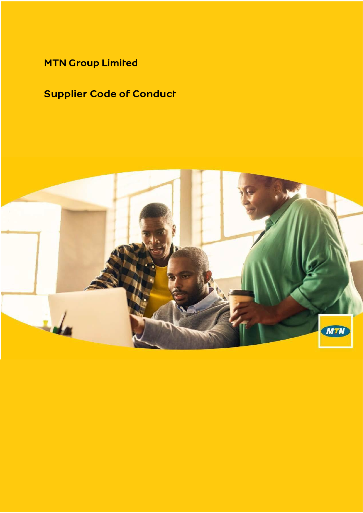MTN Group Limited

# Supplier Code of Conduct

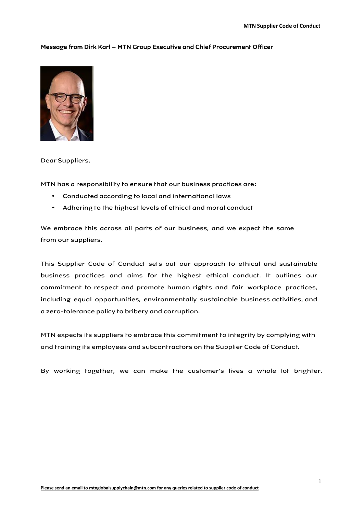# Message from Dirk Karl – MTN Group Executive and Chief Procurement Officer



# Dear Suppliers,

MTN has a responsibility to ensure that our business practices are:

- Conducted according to local and international laws
- Adhering to the highest levels of ethical and moral conduct

We embrace this across all parts of our business, and we expect the same from our suppliers.

This Supplier Code of Conduct sets out our approach to ethical and sustainable business practices and aims for the highest ethical conduct. It outlines our commitment to respect and promote human rights and fair workplace practices, including equal opportunities, environmentally sustainable business activities, and a zero-tolerance policy to bribery and corruption.

MTN expects its suppliers to embrace this commitment to integrity by complying with and training its employees and subcontractors on the Supplier Code of Conduct.

By working together, we can make the customer's lives a whole lot brighter.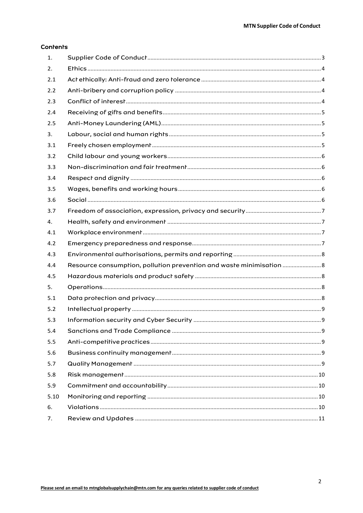# **Contents**

| 1.   |                                                                      |  |
|------|----------------------------------------------------------------------|--|
| 2.   |                                                                      |  |
| 2.1  |                                                                      |  |
| 2.2  |                                                                      |  |
| 2.3  |                                                                      |  |
| 2.4  |                                                                      |  |
| 2.5  |                                                                      |  |
| 3.   |                                                                      |  |
| 3.1  |                                                                      |  |
| 3.2  |                                                                      |  |
| 3.3  |                                                                      |  |
| 3.4  |                                                                      |  |
| 3.5  |                                                                      |  |
| 3.6  |                                                                      |  |
| 3.7  |                                                                      |  |
| 4.   |                                                                      |  |
| 4.1  |                                                                      |  |
| 4.2  |                                                                      |  |
| 4.3  |                                                                      |  |
| 4.4  | Resource consumption, pollution prevention and waste minimisation  8 |  |
| 4.5  |                                                                      |  |
| 5.   |                                                                      |  |
| 5.1  |                                                                      |  |
| 5.2  |                                                                      |  |
| 5.3  |                                                                      |  |
| 5.4  |                                                                      |  |
| 5.5  |                                                                      |  |
| 5.6  |                                                                      |  |
| 5.7  |                                                                      |  |
| 5.8  |                                                                      |  |
| 5.9  |                                                                      |  |
| 5.10 |                                                                      |  |
| 6.   |                                                                      |  |
| 7.   |                                                                      |  |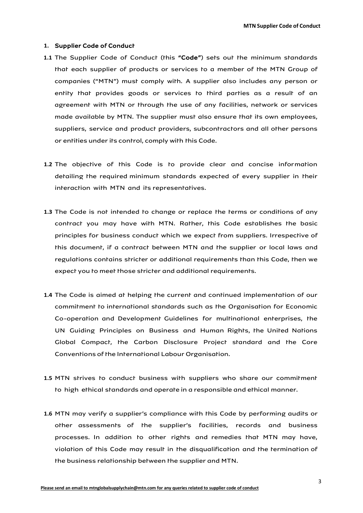# <span id="page-3-0"></span>**1.** Supplier Code of Conduct

- **1.1** The Supplier Code of Conduct (this "Code") sets out the minimum standards that each supplier of products or services to a member of the MTN Group of companies ("MTN") must comply with. A supplier also includes any person or entity that provides goods or services to third parties as a result of an agreement with MTN or through the use of any facilities, network or services made available by MTN. The supplier must also ensure that its own employees, suppliers, service and product providers, subcontractors and all other persons or entities under its control, comply with this Code.
- **1.2** The objective of this Code is to provide clear and concise information detailing the required minimum standards expected of every supplier in their interaction with MTN and its representatives.
- **1.3** The Code is not intended to change or replace the terms or conditions of any contract you may have with MTN. Rather, this Code establishes the basic principles for business conduct which we expect from suppliers. Irrespective of this document, if a contract between MTN and the supplier or local laws and regulations contains stricter or additional requirements than this Code, then we expect you to meet those stricter and additional requirements.
- **1.4** The Code is aimed at helping the current and continued implementation of our commitment to international standards such as the Organisation for Economic Co-operation and Development Guidelines for multinational enterprises, the UN Guiding Principles on Business and Human Rights, the United Nations Global Compact, the Carbon Disclosure Project standard and the Core Conventions of the International Labour Organisation.
- **1.5** MTN strives to conduct business with suppliers who share our commitment to high ethical standards and operate in a responsible and ethical manner.
- **1.6** MTN may verify a supplier's compliance with this Code by performing audits or other assessments of the supplier's facilities, records and business processes. In addition to other rights and remedies that MTN may have, violation of this Code may result in the disqualification and the termination of the business relationship between the supplier and MTN.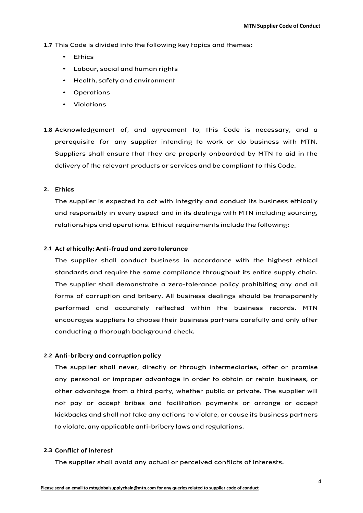**1.7** This Code is divided into the following key topics and themes:

- Ethics
- Labour, social and human rights
- Health, safety and environment
- Operations
- Violations
- **1.8** Acknowledgement of, and agreement to, this Code is necessary, and a prerequisite for any supplier intending to work or do business with MTN. Suppliers shall ensure that they are properly onboarded by MTN to aid in the delivery of the relevant products or services and be compliant to this Code.

# <span id="page-4-0"></span>**2.** Ethics

The supplier is expected to act with integrity and conduct its business ethically and responsibly in every aspect and in its dealings with MTN including sourcing, relationships and operations. Ethical requirements include the following:

#### <span id="page-4-1"></span>**2.1** Act ethically: Anti-fraud and zero tolerance

The supplier shall conduct business in accordance with the highest ethical standards and require the same compliance throughout its entire supply chain. The supplier shall demonstrate a zero-tolerance policy prohibiting any and all forms of corruption and bribery. All business dealings should be transparently performed and accurately reflected within the business records. MTN encourages suppliers to choose their business partners carefully and only after conducting a thorough background check.

# <span id="page-4-2"></span>**2.2** Anti-bribery and corruption policy

The supplier shall never, directly or through intermediaries, offer or promise any personal or improper advantage in order to obtain or retain business, or other advantage from a third party, whether public or private. The supplier will not pay or accept bribes and facilitation payments or arrange or accept kickbacks and shall not take any actions to violate, or cause its business partners to violate, any applicable anti-bribery laws and regulations.

# <span id="page-4-3"></span>**2.3** Conflict of interest

The supplier shall avoid any actual or perceived conflicts of interests.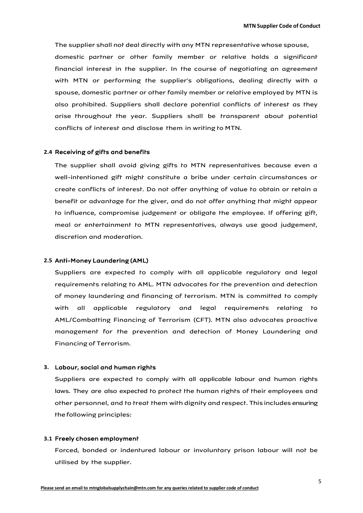The supplier shall not deal directly with any MTN representative whose spouse, domestic partner or other family member or relative holds a significant financial interest in the supplier. In the course of negotiating an agreement with MTN or performing the supplier's obligations, dealing directly with a spouse, domestic partner or other family member or relative employed by MTN is also prohibited. Suppliers shall declare potential conflicts of interest as they arise throughout the year. Suppliers shall be transparent about potential conflicts of interest and disclose them in writing to MTN.

#### <span id="page-5-0"></span>**2.4** Receiving of gifts and benefits

The supplier shall avoid giving gifts to MTN representatives because even a well-intentioned gift might constitute a bribe under certain circumstances or create conflicts of interest. Do not offer anything of value to obtain or retain a benefit or advantage for the giver, and do not offer anything that might appear to influence, compromise judgement or obligate the employee. If offering gift, meal or entertainment to MTN representatives, always use good judgement, discretion and moderation.

# <span id="page-5-1"></span>**2.5** Anti-Money Laundering (AML)

Suppliers are expected to comply with all applicable regulatory and legal requirements relating to AML. MTN advocates for the prevention and detection of money laundering and financing of terrorism. MTN is committed to comply with all applicable regulatory and legal requirements relating to AML/Combatting Financing of Terrorism (CFT). MTN also advocates proactive management for the prevention and detection of Money Laundering and Financing of Terrorism.

## <span id="page-5-2"></span>**3.** Labour, social and human rights

Suppliers are expected to comply with all applicable labour and human rights laws. They are also expected to protect the human rights of their employees and other personnel, and to treat them with dignity and respect. This includes ensuring the following principles:

#### <span id="page-5-3"></span>**3.1** Freely chosen employment

Forced, bonded or indentured labour or involuntary prison labour will not be utilised by the supplier.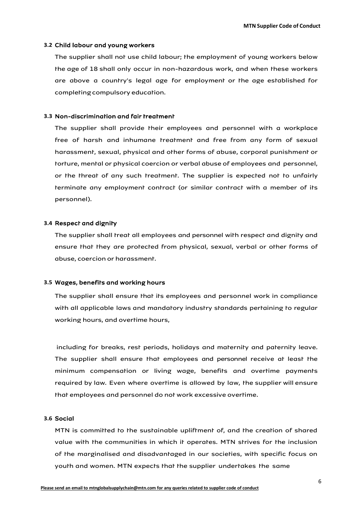# <span id="page-6-0"></span>**3.2** Child labour and young workers

The supplier shall not use child labour; the employment of young workers below the age of 18 shall only occur in non-hazardous work, and when these workers are above a country's legal age for employment or the age established for completing compulsory education.

## <span id="page-6-1"></span>**3.3** Non-discrimination and fair treatment

The supplier shall provide their employees and personnel with a workplace free of harsh and inhumane treatment and free from any form of sexual harassment, sexual, physical and other forms of abuse, corporal punishment or torture, mental or physical coercion or verbal abuse of employees and personnel, or the threat of any such treatment. The supplier is expected not to unfairly terminate any employment contract (or similar contract with a member of its personnel).

# <span id="page-6-2"></span>**3.4** Respect and dignity

The supplier shall treat all employees and personnel with respect and dignity and ensure that they are protected from physical, sexual, verbal or other forms of abuse, coercion or harassment.

## <span id="page-6-3"></span>**3.5** Wages, benefits and working hours

The supplier shall ensure that its employees and personnel work in compliance with all applicable laws and mandatory industry standards pertaining to regular working hours, and overtime hours,

including for breaks, rest periods, holidays and maternity and paternity leave. The supplier shall ensure that employees and personnel receive at least the minimum compensation or living wage, benefits and overtime payments required by law. Even where overtime is allowed by law, the supplier will ensure that employees and personnel do not work excessive overtime.

# <span id="page-6-4"></span>**3.6** Social

MTN is committed to the sustainable upliftment of, and the creation of shared value with the communities in which it operates. MTN strives for the inclusion of the marginalised and disadvantaged in our societies, with specific focus on youth and women. MTN expects that the supplier undertakes the same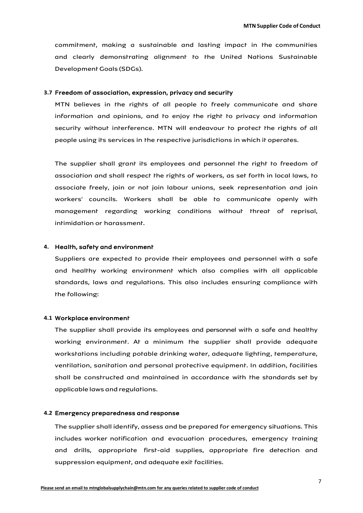commitment, making a sustainable and lasting impact in the communities and clearly demonstrating alignment to the United Nations Sustainable Development Goals (SDGs).

# <span id="page-7-0"></span>**3.7** Freedom of association, expression, privacy and security

MTN believes in the rights of all people to freely communicate and share information and opinions, and to enjoy the right to privacy and information security without interference. MTN will endeavour to protect the rights of all people using its services in the respective jurisdictions in which it operates.

The supplier shall grant its employees and personnel the right to freedom of association and shall respect the rights of workers, as set forth in local laws, to associate freely, join or not join labour unions, seek representation and join workers' councils. Workers shall be able to communicate openly with management regarding working conditions without threat of reprisal, intimidation or harassment.

# <span id="page-7-1"></span>**4.** Health, safety and environment

Suppliers are expected to provide their employees and personnel with a safe and healthy working environment which also complies with all applicable standards, laws and regulations. This also includes ensuring compliance with the following:

## <span id="page-7-2"></span>**4.1** Workplace environment

The supplier shall provide its employees and personnel with a safe and healthy working environment. At a minimum the supplier shall provide adequate workstations including potable drinking water, adequate lighting, temperature, ventilation, sanitation and personal protective equipment. In addition, facilities shall be constructed and maintained in accordance with the standards set by applicable laws and regulations.

#### <span id="page-7-3"></span>**4.2** Emergency preparedness and response

The supplier shall identify, assess and be prepared for emergency situations. This includes worker notification and evacuation procedures, emergency training and drills, appropriate first-aid supplies, appropriate fire detection and suppression equipment, and adequate exit facilities.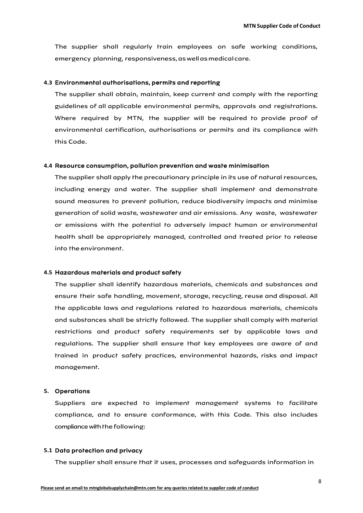The supplier shall regularly train employees on safe working conditions, emergency planning, responsiveness,aswellasmedicalcare.

### <span id="page-8-0"></span>**4.3** Environmental authorisations, permits and reporting

The supplier shall obtain, maintain, keep current and comply with the reporting guidelines of all applicable environmental permits, approvals and registrations. Where required by MTN, the supplier will be required to provide proof of environmental certification, authorisations or permits and its compliance with this Code.

#### <span id="page-8-1"></span>**4.4** Resource consumption, pollution prevention and waste minimisation

The supplier shall apply the precautionary principle in its use of natural resources, including energy and water. The supplier shall implement and demonstrate sound measures to prevent pollution, reduce biodiversity impacts and minimise generation of solid waste, wastewater and air emissions. Any waste, wastewater or emissions with the potential to adversely impact human or environmental health shall be appropriately managed, controlled and treated prior to release into the environment.

## <span id="page-8-2"></span>**4.5** Hazardous materials and product safety

The supplier shall identify hazardous materials, chemicals and substances and ensure their safe handling, movement, storage, recycling, reuse and disposal. All the applicable laws and regulations related to hazardous materials, chemicals and substances shall be strictly followed. The supplier shall comply with material restrictions and product safety requirements set by applicable laws and regulations. The supplier shall ensure that key employees are aware of and trained in product safety practices, environmental hazards, risks and impact management.

#### <span id="page-8-3"></span>**5.** Operations

Suppliers are expected to implement management systems to facilitate compliance, and to ensure conformance, with this Code. This also includes compliance with the following:

# <span id="page-8-4"></span>**5.1** Data protection and privacy

The supplier shall ensure that it uses, processes and safeguards information in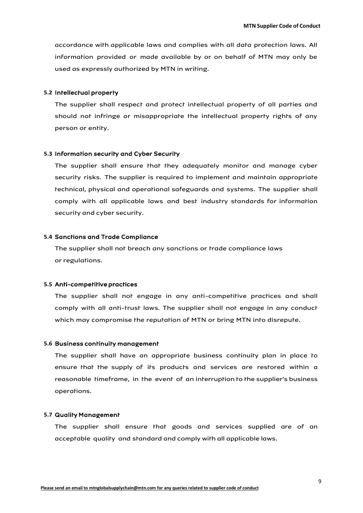accordance with applicable laws and complies with all data protection laws. All information provided or made available by or on behalf of MTN may only be used as expressly authorized by MTN in writing.

# <span id="page-9-0"></span>**5.2** Intellectual property

The supplier shall respect and protect intellectual property of all parties and should not infringe or misappropriate the intellectual property rights of any person or entity.

#### <span id="page-9-1"></span>**5.3** Information security and Cyber Security

The supplier shall ensure that they adequately monitor and manage cyber security risks. The supplier is required to implement and maintain appropriate technical, physical and operational safeguards and systems. The supplier shall comply with all applicable laws and best industry standards for information security and cyber security.

#### <span id="page-9-2"></span>**5.4** Sanctions and Trade Compliance

The supplier shall not breach any sanctions or trade compliance laws or regulations.

#### <span id="page-9-3"></span>**5.5** Anti-competitive practices

The supplier shall not engage in any anti-competitive practices and shall comply with all anti-trust laws. The supplier shall not engage in any conduct which may compromise the reputation of MTN or bring MTN into disrepute.

# <span id="page-9-4"></span>**5.6** Business continuity management

The supplier shall have an appropriate business continuity plan in place to ensure that the supply of its products and services are restored within a reasonable timeframe, in the event of an interruption to the supplier's business operations.

# <span id="page-9-5"></span>**5.7** Quality Management

The supplier shall ensure that goods and services supplied are of an acceptable quality and standard and comply with all applicable laws.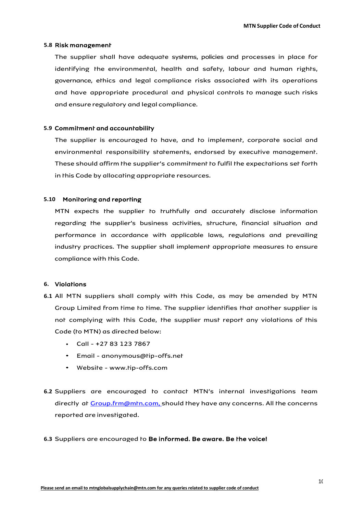# <span id="page-10-0"></span>**5.8** Risk management

The supplier shall have adequate systems, policies and processes in place for identifying the environmental, health and safety, labour and human rights, governance, ethics and legal compliance risks associated with its operations and have appropriate procedural and physical controls to manage such risks and ensure regulatory and legal compliance.

## <span id="page-10-1"></span>**5.9** Commitment and accountability

The supplier is encouraged to have, and to implement, corporate social and environmental responsibility statements, endorsed by executive management. These should affirm the supplier's commitment to fulfil the expectations set forth in this Code by allocating appropriate resources.

# <span id="page-10-2"></span>**5.10** Monitoring and reporting

MTN expects the supplier to truthfully and accurately disclose information regarding the supplier's business activities, structure, financial situation and performance in accordance with applicable laws, regulations and prevailing industry practices. The supplier shall implement appropriate measures to ensure compliance with this Code.

# <span id="page-10-3"></span>**6.** Violations

- **6.1** All MTN suppliers shall comply with this Code, as may be amended by MTN Group Limited from time to time. The supplier identifies that another supplier is not complying with this Code, the supplier must report any violations of this Code (to MTN) as directed below:
	- $\cdot$  Call +27 83 123 7867
	- Email [anonymous@tip-offs.net](mailto:anonymous@tip-offs.net)
	- Website [www.tip-offs.com](https://eur03.safelinks.protection.outlook.com/?url=http%3A%2F%2Fwww.tip-offs.com%2F&data=02%7C01%7CMandhlovu.Gwebu%40mtn.com%7C403b236b48174eb94b2108d7c423f5e4%7Cc9b9cb5036444db4a267fa84df2f4ceb%7C0%7C0%7C637193531039542532&sdata=9H1uvtKaOChBfxpE0WItr0vPe9PLKffQ1reQzYyFptQ%3D&reserved=0)
- **6.2** Suppliers are encouraged to contact MTN's internal investigations team directly at Croup.frm@mtn.com, should they have any concerns. All the concerns reported are investigated.

#### **6.3** Suppliers are encouraged to Be informed. Be aware. Be the voice!